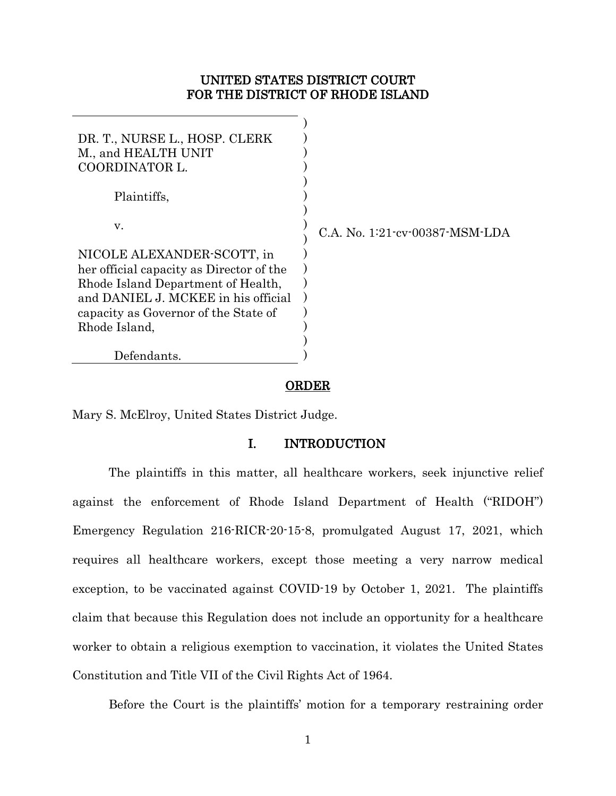## UNITED STATES DISTRICT COURT FOR THE DISTRICT OF RHODE ISLAND

| DR. T., NURSE L., HOSP. CLERK<br>M., and HEALTH UNIT<br>COORDINATOR L.                                                                                                                                       |                                |
|--------------------------------------------------------------------------------------------------------------------------------------------------------------------------------------------------------------|--------------------------------|
| Plaintiffs,                                                                                                                                                                                                  |                                |
| V.                                                                                                                                                                                                           | C.A. No. 1:21-cv-00387-MSM-LDA |
| NICOLE ALEXANDER-SCOTT, in<br>her official capacity as Director of the<br>Rhode Island Department of Health,<br>and DANIEL J. MCKEE in his official<br>capacity as Governor of the State of<br>Rhode Island, |                                |
| Defendants.                                                                                                                                                                                                  |                                |

#### **ORDER**

Mary S. McElroy, United States District Judge.

### I. INTRODUCTION

The plaintiffs in this matter, all healthcare workers, seek injunctive relief against the enforcement of Rhode Island Department of Health ("RIDOH") Emergency Regulation 216-RICR-20-15-8, promulgated August 17, 2021, which requires all healthcare workers, except those meeting a very narrow medical exception, to be vaccinated against COVID-19 by October 1, 2021. The plaintiffs claim that because this Regulation does not include an opportunity for a healthcare worker to obtain a religious exemption to vaccination, it violates the United States Constitution and Title VII of the Civil Rights Act of 1964.

Before the Court is the plaintiffs' motion for a temporary restraining order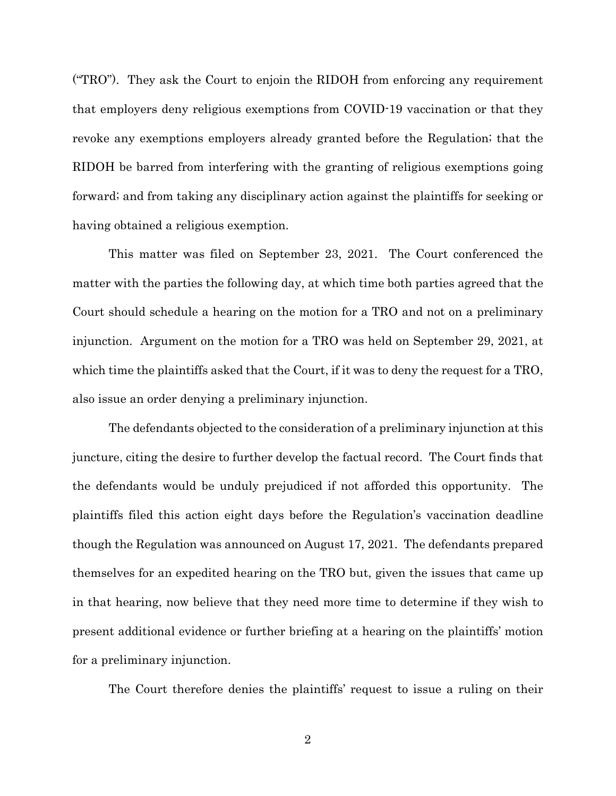("TRO"). They ask the Court to enjoin the RIDOH from enforcing any requirement that employers deny religious exemptions from COVID-19 vaccination or that they revoke any exemptions employers already granted before the Regulation; that the RIDOH be barred from interfering with the granting of religious exemptions going forward; and from taking any disciplinary action against the plaintiffs for seeking or having obtained a religious exemption.

This matter was filed on September 23, 2021. The Court conferenced the matter with the parties the following day, at which time both parties agreed that the Court should schedule a hearing on the motion for a TRO and not on a preliminary injunction. Argument on the motion for a TRO was held on September 29, 2021, at which time the plaintiffs asked that the Court, if it was to deny the request for a TRO, also issue an order denying a preliminary injunction.

The defendants objected to the consideration of a preliminary injunction at this juncture, citing the desire to further develop the factual record. The Court finds that the defendants would be unduly prejudiced if not afforded this opportunity. The plaintiffs filed this action eight days before the Regulation's vaccination deadline though the Regulation was announced on August 17, 2021. The defendants prepared themselves for an expedited hearing on the TRO but, given the issues that came up in that hearing, now believe that they need more time to determine if they wish to present additional evidence or further briefing at a hearing on the plaintiffs' motion for a preliminary injunction.

The Court therefore denies the plaintiffs' request to issue a ruling on their

2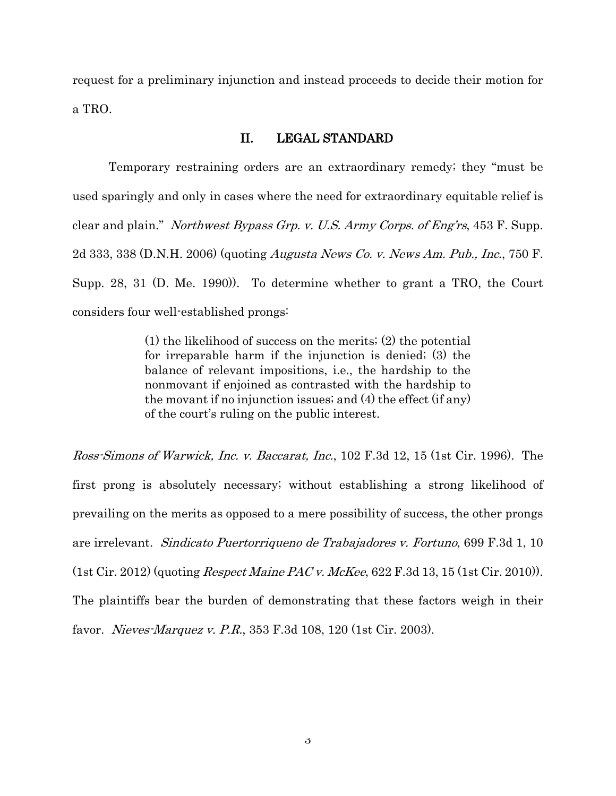request for a preliminary injunction and instead proceeds to decide their motion for a TRO.

#### II. LEGAL STANDARD

Temporary restraining orders are an extraordinary remedy; they "must be used sparingly and only in cases where the need for extraordinary equitable relief is clear and plain." Northwest Bypass Grp. v. U.S. Army Corps. of Eng'rs, 453 F. Supp. 2d 333, 338 (D.N.H. 2006) (quoting Augusta News Co. v. News Am. Pub., Inc., 750 F. Supp. 28, 31 (D. Me. 1990)). To determine whether to grant a TRO, the Court considers four well-established prongs:

> (1) the likelihood of success on the merits; (2) the potential for irreparable harm if the injunction is denied; (3) the balance of relevant impositions, i.e., the hardship to the nonmovant if enjoined as contrasted with the hardship to the movant if no injunction issues; and (4) the effect (if any) of the court's ruling on the public interest.

Ross-Simons of Warwick, Inc. v. Baccarat, Inc., 102 F.3d 12, 15 (1st Cir. 1996). The first prong is absolutely necessary; without establishing a strong likelihood of prevailing on the merits as opposed to a mere possibility of success, the other prongs are irrelevant. Sindicato Puertorriqueno de Trabajadores v. Fortuno, 699 F.3d 1, 10 (1st Cir. 2012) (quoting Respect Maine PAC v. McKee, 622 F.3d 13, 15 (1st Cir. 2010)). The plaintiffs bear the burden of demonstrating that these factors weigh in their favor. Nieves-Marquez v. P.R., 353 F.3d 108, 120 (1st Cir. 2003).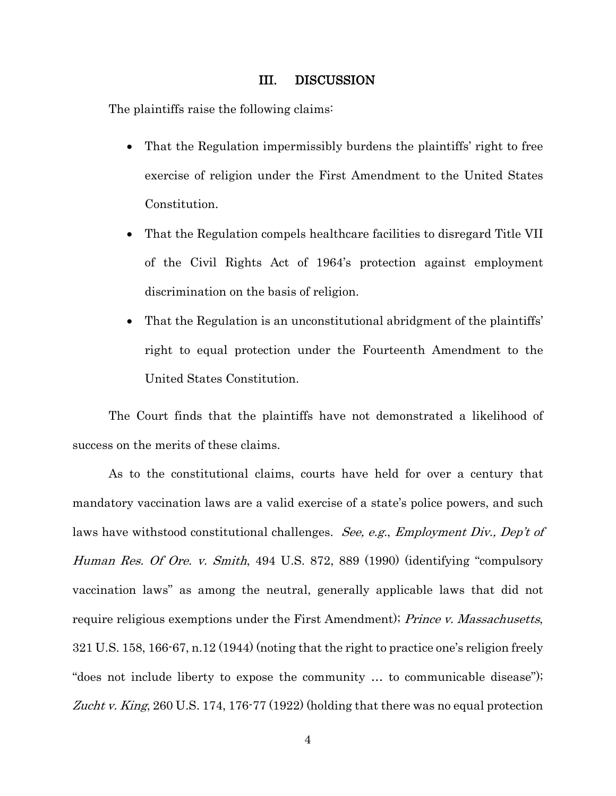#### III. DISCUSSION

The plaintiffs raise the following claims:

- That the Regulation impermissibly burdens the plaintiffs' right to free exercise of religion under the First Amendment to the United States Constitution.
- That the Regulation compels healthcare facilities to disregard Title VII of the Civil Rights Act of 1964's protection against employment discrimination on the basis of religion.
- That the Regulation is an unconstitutional abridgment of the plaintiffs' right to equal protection under the Fourteenth Amendment to the United States Constitution.

The Court finds that the plaintiffs have not demonstrated a likelihood of success on the merits of these claims.

As to the constitutional claims, courts have held for over a century that mandatory vaccination laws are a valid exercise of a state's police powers, and such laws have withstood constitutional challenges. See, e.g., Employment Div., Dep't of Human Res. Of Ore. v. Smith, 494 U.S. 872, 889 (1990) (identifying "compulsory vaccination laws" as among the neutral, generally applicable laws that did not require religious exemptions under the First Amendment); *Prince v. Massachusetts*, 321 U.S. 158, 166-67, n.12 (1944) (noting that the right to practice one's religion freely "does not include liberty to expose the community … to communicable disease"); Zucht v. King, 260 U.S. 174, 176-77 (1922) (holding that there was no equal protection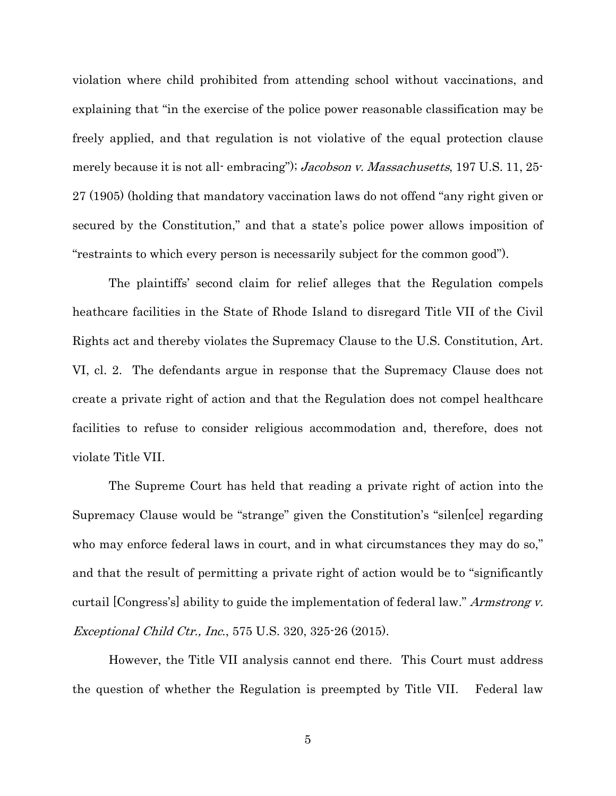violation where child prohibited from attending school without vaccinations, and explaining that "in the exercise of the police power reasonable classification may be freely applied, and that regulation is not violative of the equal protection clause merely because it is not all-embracing"); *Jacobson v. Massachusetts*, 197 U.S. 11, 25-27 (1905) (holding that mandatory vaccination laws do not offend "any right given or secured by the Constitution," and that a state's police power allows imposition of "restraints to which every person is necessarily subject for the common good").

The plaintiffs' second claim for relief alleges that the Regulation compels heathcare facilities in the State of Rhode Island to disregard Title VII of the Civil Rights act and thereby violates the Supremacy Clause to the U.S. Constitution, Art. VI, cl. 2. The defendants argue in response that the Supremacy Clause does not create a private right of action and that the Regulation does not compel healthcare facilities to refuse to consider religious accommodation and, therefore, does not violate Title VII.

The Supreme Court has held that reading a private right of action into the Supremacy Clause would be "strange" given the Constitution's "silen[ce] regarding who may enforce federal laws in court, and in what circumstances they may do so," and that the result of permitting a private right of action would be to "significantly curtail [Congress's] ability to guide the implementation of federal law." Armstrong v. Exceptional Child Ctr., Inc., 575 U.S. 320, 325-26 (2015).

However, the Title VII analysis cannot end there. This Court must address the question of whether the Regulation is preempted by Title VII. Federal law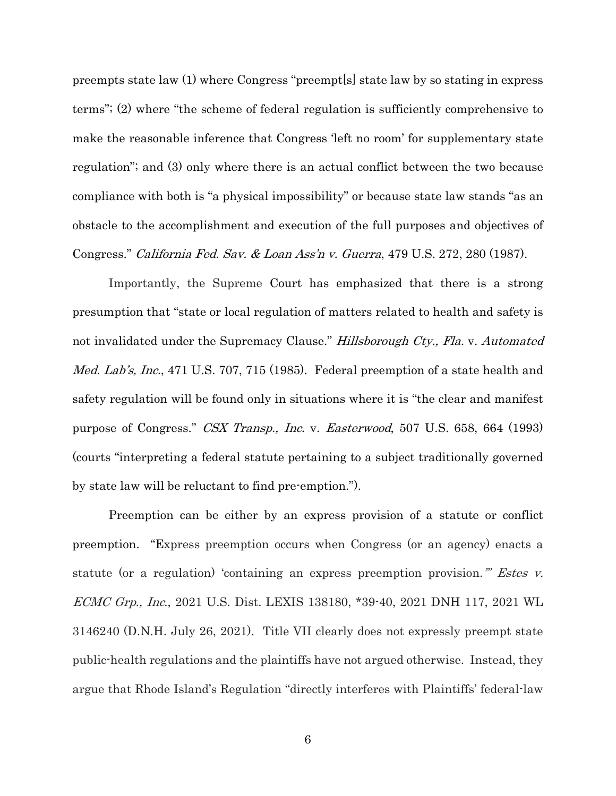preempts state law (1) where Congress "preempt[s] state law by so stating in express terms"; (2) where "the scheme of federal regulation is sufficiently comprehensive to make the reasonable inference that Congress 'left no room' for supplementary state regulation"; and (3) only where there is an actual conflict between the two because compliance with both is "a physical impossibility" or because state law stands "as an obstacle to the accomplishment and execution of the full purposes and objectives of Congress." California Fed. Sav. & Loan Ass'n v. Guerra, 479 U.S. 272, 280 (1987).

Importantly, the Supreme Court has emphasized that there is a strong presumption that "state or local regulation of matters related to health and safety is not invalidated under the Supremacy Clause." Hillsborough Cty., Fla. v. Automated Med. Lab's, Inc., 471 U.S. 707, 715 (1985). Federal preemption of a state health and safety regulation will be found only in situations where it is "the clear and manifest purpose of Congress." CSX Transp., Inc. v. Easterwood, 507 U.S. 658, 664 (1993) (courts "interpreting a federal statute pertaining to a subject traditionally governed by state law will be reluctant to find pre-emption.").

Preemption can be either by an express provision of a statute or conflict preemption. "Express preemption occurs when Congress (or an agency) enacts a statute (or a regulation) 'containing an express preemption provision." *Estes v.* ECMC Grp., Inc., 2021 U.S. Dist. LEXIS 138180, \*39-40, 2021 DNH 117, 2021 WL 3146240 (D.N.H. July 26, 2021). Title VII clearly does not expressly preempt state public-health regulations and the plaintiffs have not argued otherwise. Instead, they argue that Rhode Island's Regulation "directly interferes with Plaintiffs' federal-law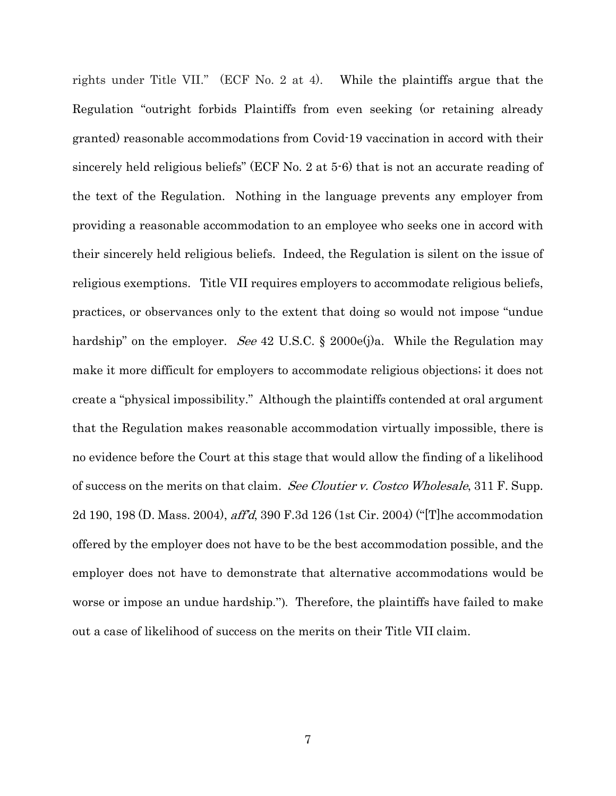rights under Title VII." (ECF No. 2 at 4). While the plaintiffs argue that the Regulation "outright forbids Plaintiffs from even seeking (or retaining already granted) reasonable accommodations from Covid-19 vaccination in accord with their sincerely held religious beliefs" (ECF No. 2 at 5-6) that is not an accurate reading of the text of the Regulation. Nothing in the language prevents any employer from providing a reasonable accommodation to an employee who seeks one in accord with their sincerely held religious beliefs. Indeed, the Regulation is silent on the issue of religious exemptions. Title VII requires employers to accommodate religious beliefs, practices, or observances only to the extent that doing so would not impose "undue hardship" on the employer. See 42 U.S.C. § 2000e(j)a. While the Regulation may make it more difficult for employers to accommodate religious objections; it does not create a "physical impossibility." Although the plaintiffs contended at oral argument that the Regulation makes reasonable accommodation virtually impossible, there is no evidence before the Court at this stage that would allow the finding of a likelihood of success on the merits on that claim. See Cloutier v. Costco Wholesale, 311 F. Supp. 2d 190, 198 (D. Mass. 2004), aff'd, 390 F.3d 126 (1st Cir. 2004) ("[T]he accommodation offered by the employer does not have to be the best accommodation possible, and the employer does not have to demonstrate that alternative accommodations would be worse or impose an undue hardship."). Therefore, the plaintiffs have failed to make out a case of likelihood of success on the merits on their Title VII claim.